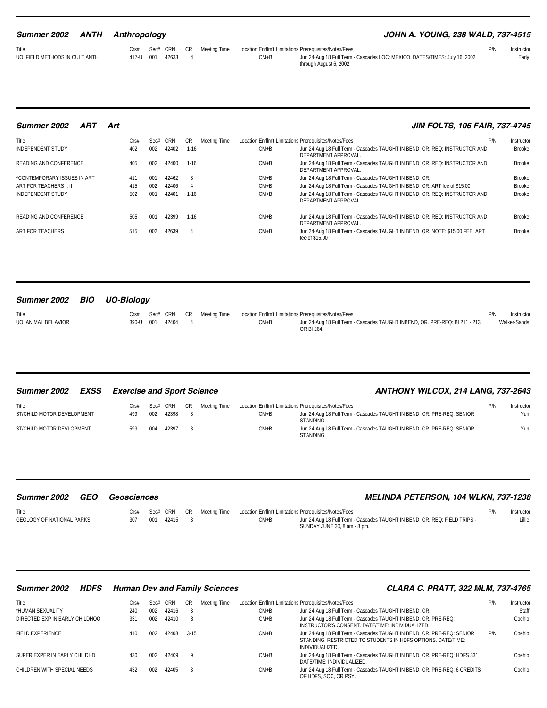| Summer 2002 ANTH                        | Anthropology |                 |  |        | JOHN A. YOUNG. 238 WALD. 737-4515                                                                                                                                                        |                     |
|-----------------------------------------|--------------|-----------------|--|--------|------------------------------------------------------------------------------------------------------------------------------------------------------------------------------------------|---------------------|
| Title<br>UO. FIELD METHODS IN CULT ANTH | Crs#         | 417-U 001 42633 |  | $CM+B$ | Sec# CRN CR Meeting Time Location EnrlIm't Limitations Prerequisites/Notes/Fees<br>Jun 24-Aug 18 Full Term - Cascades LOC: MEXICO. DATES/TIMES: July 16, 2002<br>through August 6, 2002. | Instructor<br>Early |

| Summer 2002 ART Art |  |
|---------------------|--|

## *Summer 2002 ART Art JIM FOLTS, 106 FAIR, 737-4745*

| Title                                     | Crs# | Sec# | CRN   | CR.      | Meeting Time | Location Enrllm't Limitations Prerequisites/Notes/Fees |                                                                                                    | P/N | Instructor |
|-------------------------------------------|------|------|-------|----------|--------------|--------------------------------------------------------|----------------------------------------------------------------------------------------------------|-----|------------|
| <b>INDEPENDENT STUDY</b>                  | 402  | 002  | 42402 | $1-16$   |              | $CM+B$                                                 | Jun 24-Aug 18 Full Term - Cascades TAUGHT IN BEND, OR. REQ: INSTRUCTOR AND<br>DEPARTMENT APPROVAL. |     | Brooke     |
| READING AND CONFERENCE                    | 405  | 002  | 42400 | $1 - 16$ |              | $CM+B$                                                 | Jun 24-Aug 18 Full Term - Cascades TAUGHT IN BEND, OR. REQ: INSTRUCTOR AND<br>DEPARTMENT APPROVAL. |     | Brooke     |
| <b><i>^CONTEMPORARY ISSUES IN ART</i></b> | 411  | 001  | 42462 | 3        |              | $CM+B$                                                 | Jun 24-Aug 18 Full Term - Cascades TAUGHT IN BEND, OR.                                             |     | Brooke     |
| ART FOR TEACHERS I. II                    | 415  | 002  | 42406 | 4        |              | $CM + B$                                               | Jun 24-Aug 18 Full Term - Cascades TAUGHT IN BEND, OR. ART fee of \$15.00                          |     | Brooke     |
| INDEPENDENT STUDY                         | 502  | 001  | 42401 | $1-16$   |              | $CM+B$                                                 | Jun 24-Aug 18 Full Term - Cascades TAUGHT IN BEND, OR. REQ: INSTRUCTOR AND<br>DEPARTMENT APPROVAL. |     | Brooke     |
| READING AND CONFERENCE                    | 505  | 001  | 42399 | $1-16$   |              | $CM+B$                                                 | Jun 24-Aug 18 Full Term - Cascades TAUGHT IN BEND, OR. REQ: INSTRUCTOR AND<br>DEPARTMENT APPROVAL. |     | Brooke     |
| ART FOR TEACHERS I                        | 515  | 002  | 42639 | 4        |              | $CM+B$                                                 | Jun 24-Aug 18 Full Term - Cascades TAUGHT IN BEND, OR. NOTE: \$15.00 FEE. ART<br>fee of \$15.00    |     | Brooke     |

| Summer 2002 BIO UO-Biology          |                   |                   |    |              |        |                                                                      |                                                                             |                            |
|-------------------------------------|-------------------|-------------------|----|--------------|--------|----------------------------------------------------------------------|-----------------------------------------------------------------------------|----------------------------|
| <b>Title</b><br>UO. ANIMAL BEHAVIOR | Crs#<br>390-U 001 | Sec# CRN<br>42404 | CR | Meetina Time | $CM+B$ | Location Enrllm't Limitations Prerequisites/Notes/Fees<br>OR BI 264. | Jun 24-Aug 18 Full Term - Cascades TAUGHT INBEND, OR. PRE-REQ: BI 211 - 213 | Instructor<br>Walker-Sands |

| EXSS<br><b>Summer 2002</b>          | <b>Exercise and Sport Science</b> |                 |       |     |              |        |                                                                     | ANTHONY WILCOX, 214 LANG, 737-2643                                     |                   |
|-------------------------------------|-----------------------------------|-----------------|-------|-----|--------------|--------|---------------------------------------------------------------------|------------------------------------------------------------------------|-------------------|
| Title<br>ST/CHILD MOTOR DEVELOPMENT | Crs#<br>499                       | Sec# CRN<br>002 | 42398 | CR. | Meeting Time | CM+B   | Location Enrllm't Limitations Prerequisites/Notes/Fees<br>STANDING. | Jun 24-Aug 18 Full Term - Cascades TAUGHT IN BEND, OR. PRE-REQ: SENIOR | Instructor<br>Yun |
| ST/CHILD MOTOR DEVLOPMENT           | 599                               | 004             | 42397 |     |              | $CM+B$ | STANDING.                                                           | Jun 24-Aug 18 Full Term - Cascades TAUGHT IN BEND, OR. PRE-REQ: SENIOR | Yun               |

| <b>Summer 2002 GEO</b>             | Geosciences |     |                      |  | <b>MELINDA PETERSON, 104 WLKN, 737-1238</b>                                                                                                              |                       |
|------------------------------------|-------------|-----|----------------------|--|----------------------------------------------------------------------------------------------------------------------------------------------------------|-----------------------|
| Title<br>GEOLOGY OF NATIONAL PARKS | Crs#<br>307 | 001 | Sec# CRN CR<br>42415 |  | Meeting Time Location Enrllm't Limitations Prerequisites/Notes/Fees<br>Jun 24-Aug 18 Full Term - Cascades TAUGHT IN BEND, OR. REQ: FIELD TRIPS -<br>CM+B | Instructor<br>l illie |
|                                    |             |     |                      |  | SUNDAY JUNE 30, 8 am - 8 pm.                                                                                                                             |                       |

|  | Summer 2002 HDFS Human Dev and Family Scienc |  |
|--|----------------------------------------------|--|
|  |                                              |  |

## *Summer 2002 HDFS Human Dev and Family Sciences CLARA C. PRATT, 322 MLM, 737-4765*

| Title                          | Crs# | Sec# | <b>CRN</b> | CR.    | Meeting Time |          | Location Enrllm't Limitations Prerequisites/Notes/Fees                                                                                                    | P/N | Instructor |
|--------------------------------|------|------|------------|--------|--------------|----------|-----------------------------------------------------------------------------------------------------------------------------------------------------------|-----|------------|
| *HUMAN SEXUALITY               | 240  | 002  | 42416      |        |              | $CM+B$   | Jun 24-Aug 18 Full Term - Cascades TAUGHT IN BEND, OR.                                                                                                    |     | Staff      |
| DIRECTED EXP IN EARLY CHILDHOO | 331  | 002  | 42410      |        |              | $CM + B$ | Jun 24-Aug 18 Full Term - Cascades TAUGHT IN BEND, OR. PRE-REQ:<br>INSTRUCTOR'S CONSENT. DATE/TIME: INDIVIDUALIZED.                                       |     | Coehlo     |
| FIELD EXPERIENCE               | 410  | 002  | 42408      | $3-15$ |              | $CM+B$   | Jun 24-Aug 18 Full Term - Cascades TAUGHT IN BEND, OR. PRE-REQ: SENIOR<br>STANDING. RESTRICTED TO STUDENTS IN HDFS OPTIONS. DATE/TIME:<br>INDIVIDUALIZED. | P/N | Coehlo     |
| SUPER EXPER IN EARLY CHILDHD   | 430  | 002  | 42409      |        |              | $CM+B$   | Jun 24-Aug 18 Full Term - Cascades TAUGHT IN BEND, OR. PRE-REQ: HDFS 331.<br>DATE/TIME: INDIVIDUALIZED.                                                   |     | Coehlo     |
| CHILDREN WITH SPECIAL NEEDS    | 432  | 002  | 42405      |        |              | $CM+B$   | Jun 24-Aug 18 Full Term - Cascades TAUGHT IN BEND, OR. PRE-REQ: 6 CREDITS<br>OF HDFS. SOC. OR PSY.                                                        |     | Coehlo     |